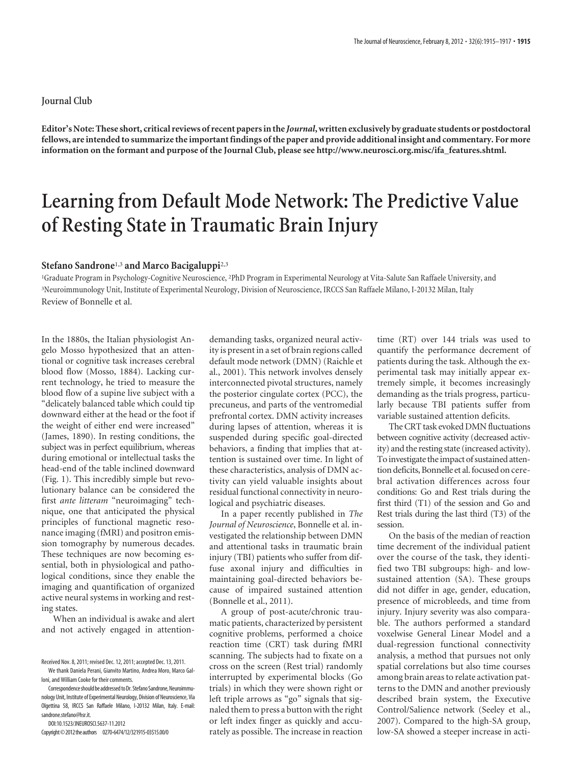## **Journal Club**

**Editor's Note: These short, critical reviews of recent papers in the** *Journal***, written exclusively by graduate students or postdoctoral fellows, are intended to summarize the important findings of the paper and provide additional insight and commentary. For more information on the formant and purpose of the Journal Club, please see http://www.neurosci.org.misc/ifa**\_**features.shtml.**

## **Learning from Default Mode Network: The Predictive Value of Resting State in Traumatic Brain Injury**

## **Stefano Sandrone**1,3 **and Marco Bacigaluppi**2,3

<sup>1</sup>Graduate Program in Psychology-Cognitive Neuroscience, <sup>2</sup>PhD Program in Experimental Neurology at Vita-Salute San Raffaele University, and 3 Neuroimmunology Unit, Institute of Experimental Neurology, Division of Neuroscience, IRCCS San Raffaele Milano, I-20132 Milan, Italy Review of Bonnelle et al.

In the 1880s, the Italian physiologist Angelo Mosso hypothesized that an attentional or cognitive task increases cerebral blood flow (Mosso, 1884). Lacking current technology, he tried to measure the blood flow of a supine live subject with a "delicately balanced table which could tip downward either at the head or the foot if the weight of either end were increased" (James, 1890). In resting conditions, the subject was in perfect equilibrium, whereas during emotional or intellectual tasks the head-end of the table inclined downward (Fig. 1). This incredibly simple but revolutionary balance can be considered the first *ante litteram* "neuroimaging" technique, one that anticipated the physical principles of functional magnetic resonance imaging (fMRI) and positron emission tomography by numerous decades. These techniques are now becoming essential, both in physiological and pathological conditions, since they enable the imaging and quantification of organized active neural systems in working and resting states.

When an individual is awake and alert and not actively engaged in attention-

DOI:10.1523/JNEUROSCI.5637-11.2012

Copyright©2012theauthors 0270-6474/12/321915-03\$15.00/0

demanding tasks, organized neural activity is present in a set of brain regions called default mode network (DMN) (Raichle et al., 2001). This network involves densely interconnected pivotal structures, namely the posterior cingulate cortex (PCC), the precuneus, and parts of the ventromedial prefrontal cortex. DMN activity increases during lapses of attention, whereas it is suspended during specific goal-directed behaviors, a finding that implies that attention is sustained over time. In light of these characteristics, analysis of DMN activity can yield valuable insights about residual functional connectivity in neurological and psychiatric diseases.

In a paper recently published in *The Journal of Neuroscience*, Bonnelle et al. investigated the relationship between DMN and attentional tasks in traumatic brain injury (TBI) patients who suffer from diffuse axonal injury and difficulties in maintaining goal-directed behaviors because of impaired sustained attention (Bonnelle et al., 2011).

A group of post-acute/chronic traumatic patients, characterized by persistent cognitive problems, performed a choice reaction time (CRT) task during fMRI scanning. The subjects had to fixate on a cross on the screen (Rest trial) randomly interrupted by experimental blocks (Go trials) in which they were shown right or left triple arrows as "go" signals that signaled them to press a button with the right or left index finger as quickly and accurately as possible. The increase in reaction time (RT) over 144 trials was used to quantify the performance decrement of patients during the task. Although the experimental task may initially appear extremely simple, it becomes increasingly demanding as the trials progress, particularly because TBI patients suffer from variable sustained attention deficits.

The CRT task evoked DMN fluctuations between cognitive activity (decreased activity) and the resting state (increased activity). To investigate the impact of sustained attention deficits, Bonnelle et al. focused on cerebral activation differences across four conditions: Go and Rest trials during the first third (T1) of the session and Go and Rest trials during the last third (T3) of the session.

On the basis of the median of reaction time decrement of the individual patient over the course of the task, they identified two TBI subgroups: high- and lowsustained attention (SA). These groups did not differ in age, gender, education, presence of microbleeds, and time from injury. Injury severity was also comparable. The authors performed a standard voxelwise General Linear Model and a dual-regression functional connectivity analysis, a method that pursues not only spatial correlations but also time courses among brain areas to relate activation patterns to the DMN and another previously described brain system, the Executive Control/Salience network (Seeley et al., 2007). Compared to the high-SA group, low-SA showed a steeper increase in acti-

Received Nov. 8, 2011; revised Dec. 12, 2011; accepted Dec. 13, 2011. We thank Daniela Perani, Gianvito Martino, Andrea Moro, Marco Gal-

loni, and William Cooke for their comments.

Correspondence should be addressed to Dr. Stefano Sandrone, Neuroimmunology Unit, Institute of Experimental Neurology, Division of Neuroscience, Via Olgettina 58, IRCCS San Raffaele Milano, I-20132 Milan, Italy. E-mail: sandrone.stefano@hsr.it.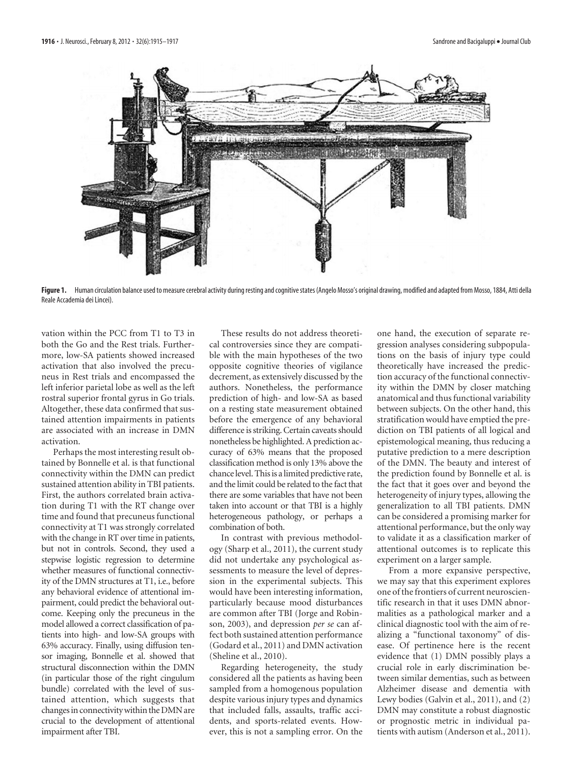

Figure 1. Human circulation balance used to measure cerebral activity during resting and cognitive states (Angelo Mosso's original drawing, modified and adapted from Mosso, 1884, Atti della Reale Accademia dei Lincei).

vation within the PCC from T1 to T3 in both the Go and the Rest trials. Furthermore, low-SA patients showed increased activation that also involved the precuneus in Rest trials and encompassed the left inferior parietal lobe as well as the left rostral superior frontal gyrus in Go trials. Altogether, these data confirmed that sustained attention impairments in patients are associated with an increase in DMN activation.

Perhaps the most interesting result obtained by Bonnelle et al. is that functional connectivity within the DMN can predict sustained attention ability in TBI patients. First, the authors correlated brain activation during T1 with the RT change over time and found that precuneus functional connectivity at T1 was strongly correlated with the change in RT over time in patients, but not in controls. Second, they used a stepwise logistic regression to determine whether measures of functional connectivity of the DMN structures at T1, i.e., before any behavioral evidence of attentional impairment, could predict the behavioral outcome. Keeping only the precuneus in the model allowed a correct classification of patients into high- and low-SA groups with 63% accuracy. Finally, using diffusion tensor imaging, Bonnelle et al. showed that structural disconnection within the DMN (in particular those of the right cingulum bundle) correlated with the level of sustained attention, which suggests that changes in connectivity within the DMN are crucial to the development of attentional impairment after TBI.

These results do not address theoretical controversies since they are compatible with the main hypotheses of the two opposite cognitive theories of vigilance decrement, as extensively discussed by the authors. Nonetheless, the performance prediction of high- and low-SA as based on a resting state measurement obtained before the emergence of any behavioral difference is striking. Certain caveats should nonetheless be highlighted. A prediction accuracy of 63% means that the proposed classification method is only 13% above the chance level. This is a limited predictive rate, and the limit could be related to the fact that there are some variables that have not been taken into account or that TBI is a highly heterogeneous pathology, or perhaps a combination of both.

In contrast with previous methodology (Sharp et al., 2011), the current study did not undertake any psychological assessments to measure the level of depression in the experimental subjects. This would have been interesting information, particularly because mood disturbances are common after TBI (Jorge and Robinson, 2003), and depression *per se* can affect both sustained attention performance (Godard et al., 2011) and DMN activation (Sheline et al., 2010).

Regarding heterogeneity, the study considered all the patients as having been sampled from a homogenous population despite various injury types and dynamics that included falls, assaults, traffic accidents, and sports-related events. However, this is not a sampling error. On the one hand, the execution of separate regression analyses considering subpopulations on the basis of injury type could theoretically have increased the prediction accuracy of the functional connectivity within the DMN by closer matching anatomical and thus functional variability between subjects. On the other hand, this stratification would have emptied the prediction on TBI patients of all logical and epistemological meaning, thus reducing a putative prediction to a mere description of the DMN. The beauty and interest of the prediction found by Bonnelle et al. is the fact that it goes over and beyond the heterogeneity of injury types, allowing the generalization to all TBI patients. DMN can be considered a promising marker for attentional performance, but the only way to validate it as a classification marker of attentional outcomes is to replicate this experiment on a larger sample.

From a more expansive perspective, we may say that this experiment explores one of the frontiers of current neuroscientific research in that it uses DMN abnormalities as a pathological marker and a clinical diagnostic tool with the aim of realizing a "functional taxonomy" of disease. Of pertinence here is the recent evidence that (1) DMN possibly plays a crucial role in early discrimination between similar dementias, such as between Alzheimer disease and dementia with Lewy bodies (Galvin et al., 2011), and (2) DMN may constitute a robust diagnostic or prognostic metric in individual patients with autism (Anderson et al., 2011).